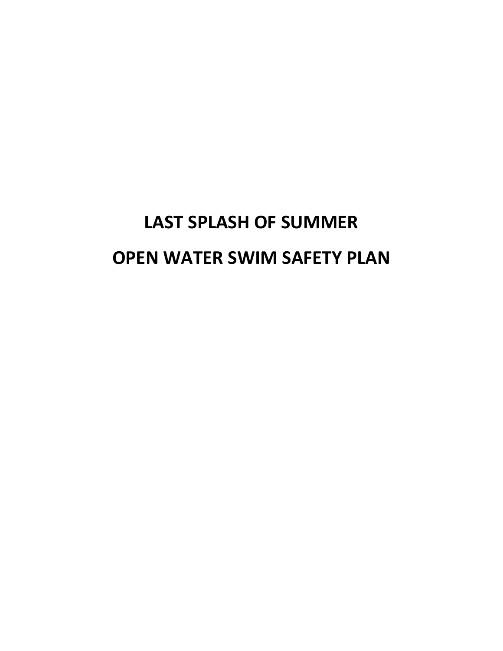# **LAST SPLASH OF SUMMER OPEN WATER SWIM SAFETY PLAN**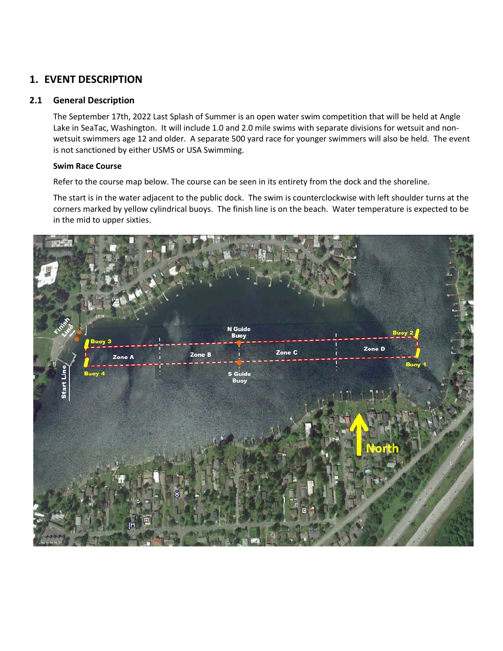# **1. EVENT DESCRIPTION**

#### **2.1 General Description**

The September 17th, 2022 Last Splash of Summer is an open water swim competition that will be held at Angle Lake in SeaTac, Washington. It will include 1.0 and 2.0 mile swims with separate divisions for wetsuit and nonwetsuit swimmers age 12 and older. A separate 500 yard race for younger swimmers will also be held. The event is not sanctioned by either USMS or USA Swimming.

#### **Swim Race Course**

Refer to the course map below. The course can be seen in its entirety from the dock and the shoreline.

The start is in the water adjacent to the public dock. The swim is counterclockwise with left shoulder turns at the corners marked by yellow cylindrical buoys. The finish line is on the beach. Water temperature is expected to be in the mid to upper sixties.

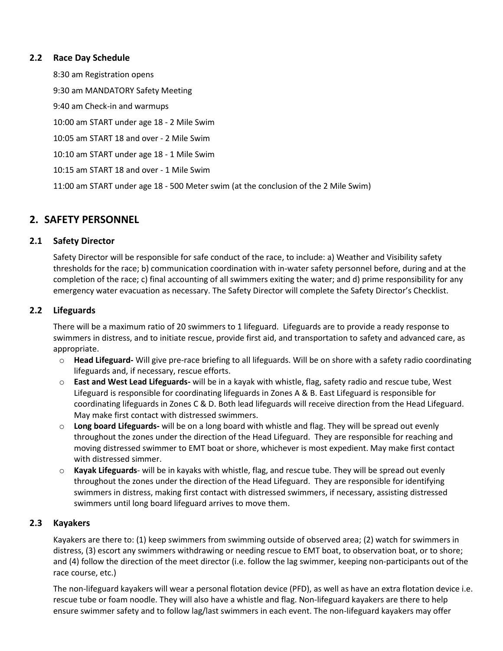## **2.2 Race Day Schedule**

8:30 am Registration opens

9:30 am MANDATORY Safety Meeting 9:40 am Check-in and warmups 10:00 am START under age 18 - 2 Mile Swim 10:05 am START 18 and over - 2 Mile Swim 10:10 am START under age 18 - 1 Mile Swim 10:15 am START 18 and over - 1 Mile Swim

11:00 am START under age 18 - 500 Meter swim (at the conclusion of the 2 Mile Swim)

# **2. SAFETY PERSONNEL**

## **2.1 Safety Director**

Safety Director will be responsible for safe conduct of the race, to include: a) Weather and Visibility safety thresholds for the race; b) communication coordination with in-water safety personnel before, during and at the completion of the race; c) final accounting of all swimmers exiting the water; and d) prime responsibility for any emergency water evacuation as necessary. The Safety Director will complete the Safety Director's Checklist.

## **2.2 Lifeguards**

There will be a maximum ratio of 20 swimmers to 1 lifeguard. Lifeguards are to provide a ready response to swimmers in distress, and to initiate rescue, provide first aid, and transportation to safety and advanced care, as appropriate.

- o **Head Lifeguard-** Will give pre-race briefing to all lifeguards. Will be on shore with a safety radio coordinating lifeguards and, if necessary, rescue efforts.
- o **East and West Lead Lifeguards-** will be in a kayak with whistle, flag, safety radio and rescue tube, West Lifeguard is responsible for coordinating lifeguards in Zones A & B. East Lifeguard is responsible for coordinating lifeguards in Zones C & D. Both lead lifeguards will receive direction from the Head Lifeguard. May make first contact with distressed swimmers.
- o **Long board Lifeguards-** will be on a long board with whistle and flag. They will be spread out evenly throughout the zones under the direction of the Head Lifeguard. They are responsible for reaching and moving distressed swimmer to EMT boat or shore, whichever is most expedient. May make first contact with distressed simmer.
- o **Kayak Lifeguards** will be in kayaks with whistle, flag, and rescue tube. They will be spread out evenly throughout the zones under the direction of the Head Lifeguard. They are responsible for identifying swimmers in distress, making first contact with distressed swimmers, if necessary, assisting distressed swimmers until long board lifeguard arrives to move them.

## **2.3 Kayakers**

Kayakers are there to: (1) keep swimmers from swimming outside of observed area; (2) watch for swimmers in distress, (3) escort any swimmers withdrawing or needing rescue to EMT boat, to observation boat, or to shore; and (4) follow the direction of the meet director (i.e. follow the lag swimmer, keeping non-participants out of the race course, etc.)

The non-lifeguard kayakers will wear a personal flotation device (PFD), as well as have an extra flotation device i.e. rescue tube or foam noodle. They will also have a whistle and flag. Non-lifeguard kayakers are there to help ensure swimmer safety and to follow lag/last swimmers in each event. The non-lifeguard kayakers may offer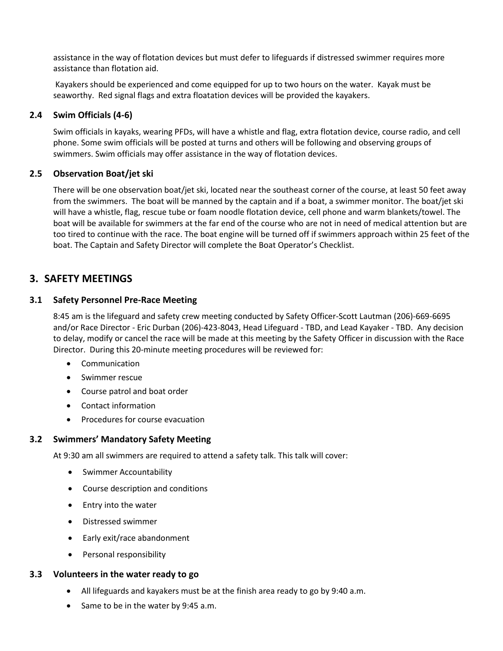assistance in the way of flotation devices but must defer to lifeguards if distressed swimmer requires more assistance than flotation aid.

Kayakers should be experienced and come equipped for up to two hours on the water. Kayak must be seaworthy. Red signal flags and extra floatation devices will be provided the kayakers.

## **2.4 Swim Officials (4-6)**

Swim officials in kayaks, wearing PFDs, will have a whistle and flag, extra flotation device, course radio, and cell phone. Some swim officials will be posted at turns and others will be following and observing groups of swimmers. Swim officials may offer assistance in the way of flotation devices.

## **2.5 Observation Boat/jet ski**

There will be one observation boat/jet ski, located near the southeast corner of the course, at least 50 feet away from the swimmers. The boat will be manned by the captain and if a boat, a swimmer monitor. The boat/jet ski will have a whistle, flag, rescue tube or foam noodle flotation device, cell phone and warm blankets/towel. The boat will be available for swimmers at the far end of the course who are not in need of medical attention but are too tired to continue with the race. The boat engine will be turned off if swimmers approach within 25 feet of the boat. The Captain and Safety Director will complete the Boat Operator's Checklist.

# **3. SAFETY MEETINGS**

## **3.1 Safety Personnel Pre-Race Meeting**

8:45 am is the lifeguard and safety crew meeting conducted by Safety Officer-Scott Lautman (206)-669-6695 and/or Race Director - Eric Durban (206)-423-8043, Head Lifeguard - TBD, and Lead Kayaker - TBD. Any decision to delay, modify or cancel the race will be made at this meeting by the Safety Officer in discussion with the Race Director. During this 20-minute meeting procedures will be reviewed for:

- Communication
- Swimmer rescue
- Course patrol and boat order
- Contact information
- Procedures for course evacuation

## **3.2 Swimmers' Mandatory Safety Meeting**

At 9:30 am all swimmers are required to attend a safety talk. This talk will cover:

- Swimmer Accountability
- Course description and conditions
- Entry into the water
- Distressed swimmer
- Early exit/race abandonment
- Personal responsibility

## **3.3 Volunteers in the water ready to go**

- All lifeguards and kayakers must be at the finish area ready to go by 9:40 a.m.
- Same to be in the water by 9:45 a.m.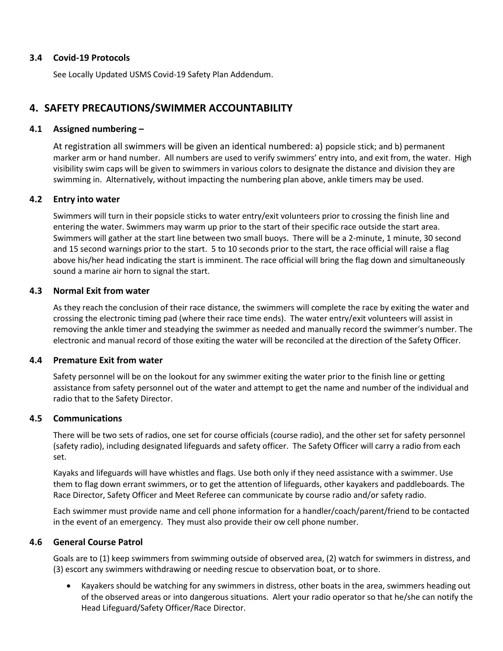#### **3.4 Covid-19 Protocols**

See Locally Updated USMS Covid-19 Safety Plan Addendum.

# **4. SAFETY PRECAUTIONS/SWIMMER ACCOUNTABILITY**

## **4.1 Assigned numbering –**

At registration all swimmers will be given an identical numbered: a) popsicle stick; and b) permanent marker arm or hand number. All numbers are used to verify swimmers' entry into, and exit from, the water. High visibility swim caps will be given to swimmers in various colors to designate the distance and division they are swimming in. Alternatively, without impacting the numbering plan above, ankle timers may be used.

## **4.2 Entry into water**

Swimmers will turn in their popsicle sticks to water entry/exit volunteers prior to crossing the finish line and entering the water. Swimmers may warm up prior to the start of their specific race outside the start area. Swimmers will gather at the start line between two small buoys. There will be a 2-minute, 1 minute, 30 second and 15 second warnings prior to the start. 5 to 10 seconds prior to the start, the race official will raise a flag above his/her head indicating the start is imminent. The race official will bring the flag down and simultaneously sound a marine air horn to signal the start.

## **4.3 Normal Exit from water**

As they reach the conclusion of their race distance, the swimmers will complete the race by exiting the water and crossing the electronic timing pad (where their race time ends). The water entry/exit volunteers will assist in removing the ankle timer and steadying the swimmer as needed and manually record the swimmer's number. The electronic and manual record of those exiting the water will be reconciled at the direction of the Safety Officer.

#### **4.4 Premature Exit from water**

Safety personnel will be on the lookout for any swimmer exiting the water prior to the finish line or getting assistance from safety personnel out of the water and attempt to get the name and number of the individual and radio that to the Safety Director.

#### **4.5 Communications**

There will be two sets of radios, one set for course officials (course radio), and the other set for safety personnel (safety radio), including designated lifeguards and safety officer. The Safety Officer will carry a radio from each set.

Kayaks and lifeguards will have whistles and flags. Use both only if they need assistance with a swimmer. Use them to flag down errant swimmers, or to get the attention of lifeguards, other kayakers and paddleboards. The Race Director, Safety Officer and Meet Referee can communicate by course radio and/or safety radio.

Each swimmer must provide name and cell phone information for a handler/coach/parent/friend to be contacted in the event of an emergency. They must also provide their ow cell phone number.

#### **4.6 General Course Patrol**

Goals are to (1) keep swimmers from swimming outside of observed area, (2) watch for swimmers in distress, and (3) escort any swimmers withdrawing or needing rescue to observation boat, or to shore.

• Kayakers should be watching for any swimmers in distress, other boats in the area, swimmers heading out of the observed areas or into dangerous situations. Alert your radio operator so that he/she can notify the Head Lifeguard/Safety Officer/Race Director.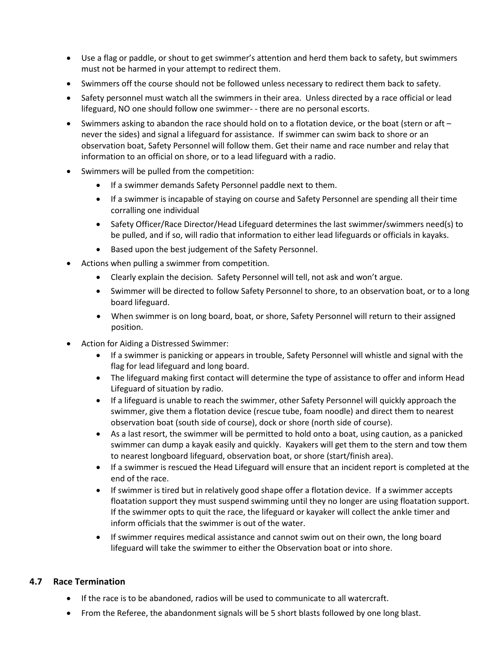- Use a flag or paddle, or shout to get swimmer's attention and herd them back to safety, but swimmers must not be harmed in your attempt to redirect them.
- Swimmers off the course should not be followed unless necessary to redirect them back to safety.
- Safety personnel must watch all the swimmers in their area. Unless directed by a race official or lead lifeguard, NO one should follow one swimmer- - there are no personal escorts.
- Swimmers asking to abandon the race should hold on to a flotation device, or the boat (stern or aft never the sides) and signal a lifeguard for assistance. If swimmer can swim back to shore or an observation boat, Safety Personnel will follow them. Get their name and race number and relay that information to an official on shore, or to a lead lifeguard with a radio.
- Swimmers will be pulled from the competition:
	- If a swimmer demands Safety Personnel paddle next to them.
	- If a swimmer is incapable of staying on course and Safety Personnel are spending all their time corralling one individual
	- Safety Officer/Race Director/Head Lifeguard determines the last swimmer/swimmers need(s) to be pulled, and if so, will radio that information to either lead lifeguards or officials in kayaks.
	- Based upon the best judgement of the Safety Personnel.
- Actions when pulling a swimmer from competition.
	- Clearly explain the decision. Safety Personnel will tell, not ask and won't argue.
	- Swimmer will be directed to follow Safety Personnel to shore, to an observation boat, or to a long board lifeguard.
	- When swimmer is on long board, boat, or shore, Safety Personnel will return to their assigned position.
- Action for Aiding a Distressed Swimmer:
	- If a swimmer is panicking or appears in trouble, Safety Personnel will whistle and signal with the flag for lead lifeguard and long board.
	- The lifeguard making first contact will determine the type of assistance to offer and inform Head Lifeguard of situation by radio.
	- If a lifeguard is unable to reach the swimmer, other Safety Personnel will quickly approach the swimmer, give them a flotation device (rescue tube, foam noodle) and direct them to nearest observation boat (south side of course), dock or shore (north side of course).
	- As a last resort, the swimmer will be permitted to hold onto a boat, using caution, as a panicked swimmer can dump a kayak easily and quickly. Kayakers will get them to the stern and tow them to nearest longboard lifeguard, observation boat, or shore (start/finish area).
	- If a swimmer is rescued the Head Lifeguard will ensure that an incident report is completed at the end of the race.
	- If swimmer is tired but in relatively good shape offer a flotation device. If a swimmer accepts floatation support they must suspend swimming until they no longer are using floatation support. If the swimmer opts to quit the race, the lifeguard or kayaker will collect the ankle timer and inform officials that the swimmer is out of the water.
	- If swimmer requires medical assistance and cannot swim out on their own, the long board lifeguard will take the swimmer to either the Observation boat or into shore.

## **4.7 Race Termination**

- If the race is to be abandoned, radios will be used to communicate to all watercraft.
- From the Referee, the abandonment signals will be 5 short blasts followed by one long blast.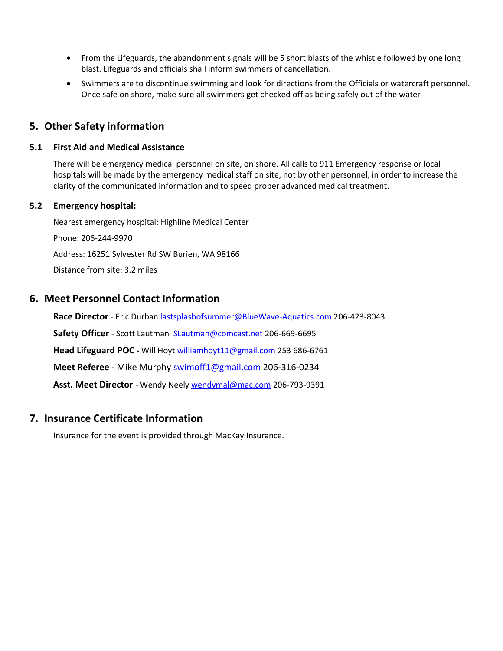- From the Lifeguards, the abandonment signals will be 5 short blasts of the whistle followed by one long blast. Lifeguards and officials shall inform swimmers of cancellation.
- Swimmers are to discontinue swimming and look for directions from the Officials or watercraft personnel. Once safe on shore, make sure all swimmers get checked off as being safely out of the water

# **5. Other Safety information**

# **5.1 First Aid and Medical Assistance**

There will be emergency medical personnel on site, on shore. All calls to 911 Emergency response or local hospitals will be made by the emergency medical staff on site, not by other personnel, in order to increase the clarity of the communicated information and to speed proper advanced medical treatment.

## **5.2 Emergency hospital:**

Nearest emergency hospital: Highline Medical Center Phone: 206-244-9970 Address: 16251 Sylvester Rd SW Burien, WA 98166 Distance from site: 3.2 miles

# **6. Meet Personnel Contact Information**

**Race Director** - Eric Durban [lastsplashofsummer@BlueWave-Aquatics.com](mailto:lastsplashofsummer@BlueWave-Aquatics.com) 206-423-8043 **Safety Officer** - Scott Lautman [SLautman@comcast.net](mailto:SLautman@comcast.net) 206-669-6695 **Head Lifeguard POC -** Will Hoy[t williamhoyt11@gmail.com](mailto:williamhoyt11@gmail.com) 253 686-6761 **Meet Referee** - Mike Murphy [swimoff1@gmail.com](mailto:swimoff1@gmail.com) 206-316-0234 **Asst. Meet Director** - Wendy Neely [wendymal@mac.com](mailto:wendymal@mac.com) 206-793-9391

# **7. Insurance Certificate Information**

Insurance for the event is provided through MacKay Insurance.